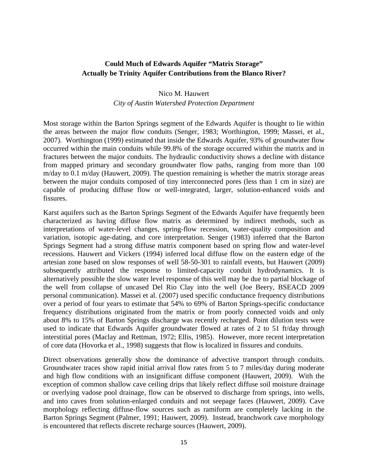## **Could Much of Edwards Aquifer "Matrix Storage" Actually be Trinity Aquifer Contributions from the Blanco River?**

## Nico M. Hauwert *City of Austin Watershed Protection Department*

Most storage within the Barton Springs segment of the Edwards Aquifer is thought to lie within the areas between the major flow conduits (Senger, 1983; Worthington, 1999; Massei, et al., 2007). Worthington (1999) estimated that inside the Edwards Aquifer, 93% of groundwater flow occurred within the main conduits while 99.8% of the storage occurred within the matrix and in fractures between the major conduits. The hydraulic conductivity shows a decline with distance from mapped primary and secondary groundwater flow paths, ranging from more than 100 m/day to 0.1 m/day (Hauwert, 2009). The question remaining is whether the matrix storage areas between the major conduits composed of tiny interconnected pores (less than 1 cm in size) are capable of producing diffuse flow or well-integrated, larger, solution-enhanced voids and fissures.

Karst aquifers such as the Barton Springs Segment of the Edwards Aquifer have frequently been characterized as having diffuse flow matrix as determined by indirect methods, such as interpretations of water-level changes, spring-flow recession, water-quality composition and variation, isotopic age-dating, and core interpretation. Senger (1983) inferred that the Barton Springs Segment had a strong diffuse matrix component based on spring flow and water-level recessions. Hauwert and Vickers (1994) inferred local diffuse flow on the eastern edge of the artesian zone based on slow responses of well 58-50-301 to rainfall events, but Hauwert (2009) subsequently attributed the response to limited-capacity conduit hydrodynamics. It is alternatively possible the slow water level response of this well may be due to partial blockage of the well from collapse of uncased Del Rio Clay into the well (Joe Beery, BSEACD 2009 personal communication). Massei et al. (2007) used specific conductance frequency distributions over a period of four years to estimate that 54% to 69% of Barton Springs-specific conductance frequency distributions originated from the matrix or from poorly connected voids and only about 8% to 15% of Barton Springs discharge was recently recharged. Point dilution tests were used to indicate that Edwards Aquifer groundwater flowed at rates of 2 to 51 ft/day through interstitial pores (Maclay and Rettman, 1972; Ellis, 1985). However, more recent interpretation of core data (Hovorka et al., 1998) suggests that flow is localized in fissures and conduits.

Direct observations generally show the dominance of advective transport through conduits. Groundwater traces show rapid initial arrival flow rates from 5 to 7 miles/day during moderate and high flow conditions with an insignificant diffuse component (Hauwert, 2009). With the exception of common shallow cave ceiling drips that likely reflect diffuse soil moisture drainage or overlying vadose pool drainage, flow can be observed to discharge from springs, into wells, and into caves from solution-enlarged conduits and not seepage faces (Hauwert, 2009). Cave morphology reflecting diffuse-flow sources such as ramiform are completely lacking in the Barton Springs Segment (Palmer, 1991; Hauwert, 2009). Instead, branchwork cave morphology is encountered that reflects discrete recharge sources (Hauwert, 2009).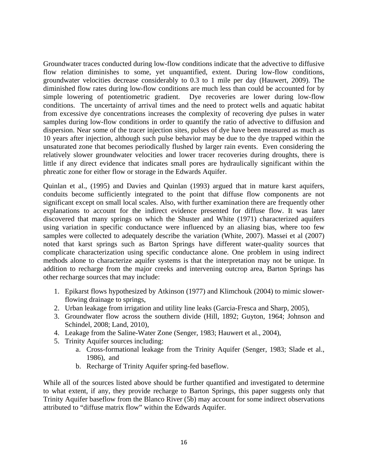Groundwater traces conducted during low-flow conditions indicate that the advective to diffusive flow relation diminishes to some, yet unquantified, extent. During low-flow conditions, groundwater velocities decrease considerably to 0.3 to 1 mile per day (Hauwert, 2009). The diminished flow rates during low-flow conditions are much less than could be accounted for by simple lowering of potentiometric gradient. Dye recoveries are lower during low-flow conditions. The uncertainty of arrival times and the need to protect wells and aquatic habitat from excessive dye concentrations increases the complexity of recovering dye pulses in water samples during low-flow conditions in order to quantify the ratio of advective to diffusion and dispersion. Near some of the tracer injection sites, pulses of dye have been measured as much as 10 years after injection, although such pulse behavior may be due to the dye trapped within the unsaturated zone that becomes periodically flushed by larger rain events. Even considering the relatively slower groundwater velocities and lower tracer recoveries during droughts, there is little if any direct evidence that indicates small pores are hydraulically significant within the phreatic zone for either flow or storage in the Edwards Aquifer.

Quinlan et al., (1995) and Davies and Quinlan (1993) argued that in mature karst aquifers, conduits become sufficiently integrated to the point that diffuse flow components are not significant except on small local scales. Also, with further examination there are frequently other explanations to account for the indirect evidence presented for diffuse flow. It was later discovered that many springs on which the Shuster and White (1971) characterized aquifers using variation in specific conductance were influenced by an aliasing bias, where too few samples were collected to adequately describe the variation (White, 2007). Massei et al (2007) noted that karst springs such as Barton Springs have different water-quality sources that complicate characterization using specific conductance alone. One problem in using indirect methods alone to characterize aquifer systems is that the interpretation may not be unique. In addition to recharge from the major creeks and intervening outcrop area, Barton Springs has other recharge sources that may include:

- 1. Epikarst flows hypothesized by Atkinson (1977) and Klimchouk (2004) to mimic slowerflowing drainage to springs,
- 2. Urban leakage from irrigation and utility line leaks (Garcia-Fresca and Sharp, 2005),
- 3. Groundwater flow across the southern divide (Hill, 1892; Guyton, 1964; Johnson and Schindel, 2008; Land, 2010),
- 4. Leakage from the Saline-Water Zone (Senger, 1983; Hauwert et al., 2004),
- 5. Trinity Aquifer sources including:
	- a. Cross-formational leakage from the Trinity Aquifer (Senger, 1983; Slade et al., 1986), and
	- b. Recharge of Trinity Aquifer spring-fed baseflow.

While all of the sources listed above should be further quantified and investigated to determine to what extent, if any, they provide recharge to Barton Springs, this paper suggests only that Trinity Aquifer baseflow from the Blanco River (5b) may account for some indirect observations attributed to "diffuse matrix flow" within the Edwards Aquifer.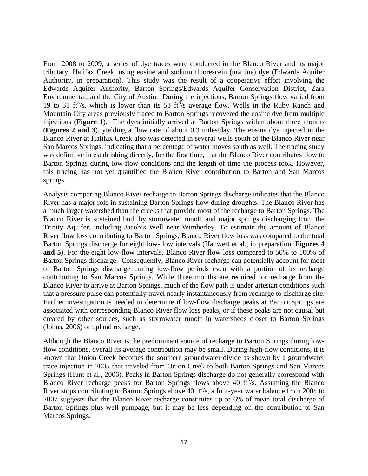From 2008 to 2009, a series of dye traces were conducted in the Blanco River and its major tributary, Halifax Creek, using eosine and sodium fluorescein (uranine) dye (Edwards Aquifer Authority, in preparation). This study was the result of a cooperative effort involving the Edwards Aquifer Authority, Barton Springs/Edwards Aquifer Conservation District, Zara Environmental, and the City of Austin. During the injections, Barton Springs flow varied from 19 to 31 ft<sup>3</sup>/s, which is lower than its 53 ft<sup>3</sup>/s average flow. Wells in the Ruby Ranch and Mountain City areas previously traced to Barton Springs recovered the eosine dye from multiple injections (**Figure 1**). The dyes initially arrived at Barton Springs within about three months (**Figures 2 and 3**), yielding a flow rate of about 0.3 miles/day. The eosine dye injected in the Blanco River at Halifax Creek also was detected in several wells south of the Blanco River near San Marcos Springs, indicating that a percentage of water moves south as well. The tracing study was definitive in establishing directly, for the first time, that the Blanco River contributes flow to Barton Springs during low-flow conditions and the length of time the process took. However, this tracing has not yet quantified the Blanco River contribution to Barton and San Marcos springs.

Analysis comparing Blanco River recharge to Barton Springs discharge indicates that the Blanco River has a major role in sustaining Barton Springs flow during droughts. The Blanco River has a much larger watershed than the creeks that provide most of the recharge to Barton Springs. The Blanco River is sustained both by stormwater runoff and major springs discharging from the Trinity Aquifer, including Jacob's Well near Wimberley. To estimate the amount of Blanco River flow loss contributing to Barton Springs, Blanco River flow loss was compared to the total Barton Springs discharge for eight low-flow intervals (Hauwert et al., in preparation; **Figures 4 and 5**). For the eight low-flow intervals, Blanco River flow loss compared to 50% to 100% of Barton Springs discharge. Consequently, Blanco River recharge can potentially account for most of Barton Springs discharge during low-flow periods even with a portion of its recharge contributing to San Marcos Springs. While three months are required for recharge from the Blanco River to arrive at Barton Springs, much of the flow path is under artesian conditions such that a pressure pulse can potentially travel nearly instantaneously from recharge to discharge site. Further investigation is needed to determine if low-flow discharge peaks at Barton Springs are associated with corresponding Blanco River flow loss peaks, or if these peaks are not causal but created by other sources, such as stormwater runoff in watersheds closer to Barton Springs (Johns, 2006) or upland recharge.

Although the Blanco River is the predominant source of recharge to Barton Springs during lowflow conditions, overall its average contribution may be small. During high-flow conditions, it is known that Onion Creek becomes the southern groundwater divide as shown by a groundwater trace injection in 2005 that traveled from Onion Creek to both Barton Springs and San Marcos Springs (Hunt et al., 2006). Peaks in Barton Springs discharge do not generally correspond with Blanco River recharge peaks for Barton Springs flows above 40 ft<sup>3</sup>/s. Assuming the Blanco River stops contributing to Barton Springs above 40 ft<sup>3</sup>/s, a four-year water balance from 2004 to 2007 suggests that the Blanco River recharge constitutes up to 6% of mean total discharge of Barton Springs plus well pumpage, but it may be less depending on the contribution to San Marcos Springs.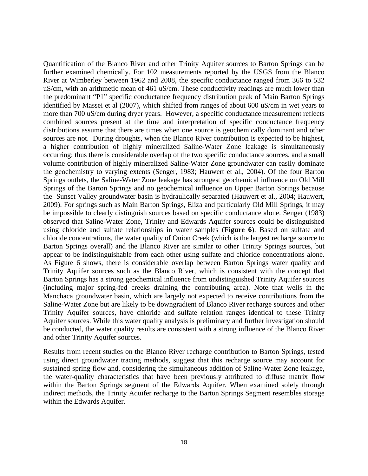Quantification of the Blanco River and other Trinity Aquifer sources to Barton Springs can be further examined chemically. For 102 measurements reported by the USGS from the Blanco River at Wimberley between 1962 and 2008, the specific conductance ranged from 366 to 532 uS/cm, with an arithmetic mean of 461 uS/cm. These conductivity readings are much lower than the predominant "P1" specific conductance frequency distribution peak of Main Barton Springs identified by Massei et al (2007), which shifted from ranges of about 600 uS/cm in wet years to more than 700 uS/cm during dryer years. However, a specific conductance measurement reflects combined sources present at the time and interpretation of specific conductance frequency distributions assume that there are times when one source is geochemically dominant and other sources are not. During droughts, when the Blanco River contribution is expected to be highest, a higher contribution of highly mineralized Saline-Water Zone leakage is simultaneously occurring; thus there is considerable overlap of the two specific conductance sources, and a small volume contribution of highly mineralized Saline-Water Zone groundwater can easily dominate the geochemistry to varying extents (Senger, 1983; Hauwert et al., 2004). Of the four Barton Springs outlets, the Saline-Water Zone leakage has strongest geochemical influence on Old Mill Springs of the Barton Springs and no geochemical influence on Upper Barton Springs because the Sunset Valley groundwater basin is hydraulically separated (Hauwert et al., 2004; Hauwert, 2009). For springs such as Main Barton Springs, Eliza and particularly Old Mill Springs, it may be impossible to clearly distinguish sources based on specific conductance alone. Senger (1983) observed that Saline-Water Zone, Trinity and Edwards Aquifer sources could be distinguished using chloride and sulfate relationships in water samples (**Figure 6**). Based on sulfate and chloride concentrations, the water quality of Onion Creek (which is the largest recharge source to Barton Springs overall) and the Blanco River are similar to other Trinity Springs sources, but appear to be indistinguishable from each other using sulfate and chloride concentrations alone. As Figure 6 shows, there is considerable overlap between Barton Springs water quality and Trinity Aquifer sources such as the Blanco River, which is consistent with the concept that Barton Springs has a strong geochemical influence from undistinguished Trinity Aquifer sources (including major spring-fed creeks draining the contributing area). Note that wells in the Manchaca groundwater basin, which are largely not expected to receive contributions from the Saline-Water Zone but are likely to be downgradient of Blanco River recharge sources and other Trinity Aquifer sources, have chloride and sulfate relation ranges identical to these Trinity Aquifer sources. While this water quality analysis is preliminary and further investigation should be conducted, the water quality results are consistent with a strong influence of the Blanco River and other Trinity Aquifer sources.

Results from recent studies on the Blanco River recharge contribution to Barton Springs, tested using direct groundwater tracing methods, suggest that this recharge source may account for sustained spring flow and, considering the simultaneous addition of Saline-Water Zone leakage, the water-quality characteristics that have been previously attributed to diffuse matrix flow within the Barton Springs segment of the Edwards Aquifer. When examined solely through indirect methods, the Trinity Aquifer recharge to the Barton Springs Segment resembles storage within the Edwards Aquifer.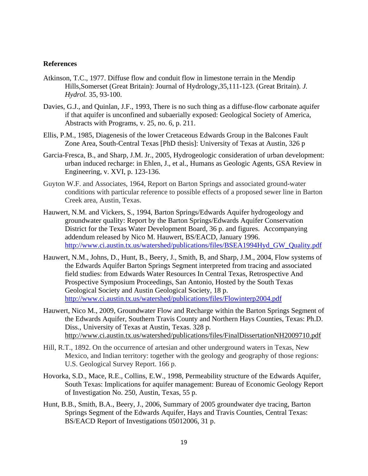## **References**

- Atkinson, T.C., 1977. Diffuse flow and conduit flow in limestone terrain in the Mendip Hills,Somerset (Great Britain): Journal of Hydrology,35,111-123. (Great Britain). *J. Hydrol.* 35, 93-100.
- Davies, G.J., and Quinlan, J.F., 1993, There is no such thing as a diffuse-flow carbonate aquifer if that aquifer is unconfined and subaerially exposed: Geological Society of America, Abstracts with Programs, v. 25, no. 6, p. 211.
- Ellis, P.M., 1985, Diagenesis of the lower Cretaceous Edwards Group in the Balcones Fault Zone Area, South-Central Texas [PhD thesis]: University of Texas at Austin, 326 p
- Garcia-Fresca, B., and Sharp, J.M. Jr., 2005, Hydrogeologic consideration of urban development: urban induced recharge: in Ehlen, J., et al., Humans as Geologic Agents, GSA Review in Engineering, v. XVI, p. 123-136.
- Guyton W.F. and Associates, 1964, Report on Barton Springs and associated ground-water conditions with particular reference to possible effects of a proposed sewer line in Barton Creek area, Austin, Texas.
- Hauwert, N.M. and Vickers, S., 1994, Barton Springs/Edwards Aquifer hydrogeology and groundwater quality: Report by the Barton Springs/Edwards Aquifer Conservation District for the Texas Water Development Board, 36 p. and figures. Accompanying addendum released by Nico M. Hauwert, BS/EACD, January 1996. http://www.ci.austin.tx.us/watershed/publications/files/BSEA1994Hyd\_GW\_Quality.pdf
- Hauwert, N.M., Johns, D., Hunt, B., Beery, J., Smith, B, and Sharp, J.M., 2004, Flow systems of the Edwards Aquifer Barton Springs Segment interpreted from tracing and associated field studies: from Edwards Water Resources In Central Texas, Retrospective And Prospective Symposium Proceedings, San Antonio, Hosted by the South Texas Geological Society and Austin Geological Society, 18 p. http://www.ci.austin.tx.us/watershed/publications/files/Flowinterp2004.pdf
- Hauwert, Nico M., 2009, Groundwater Flow and Recharge within the Barton Springs Segment of the Edwards Aquifer, Southern Travis County and Northern Hays Counties, Texas: Ph.D. Diss., University of Texas at Austin, Texas. 328 p. http://www.ci.austin.tx.us/watershed/publications/files/FinalDissertationNH2009710.pdf
- Hill, R.T., 1892. On the occurrence of artesian and other underground waters in Texas, New Mexico, and Indian territory: together with the geology and geography of those regions: U.S. Geological Survey Report. 166 p.
- Hovorka, S.D., Mace, R.E., Collins, E.W., 1998, Permeability structure of the Edwards Aquifer, South Texas: Implications for aquifer management: Bureau of Economic Geology Report of Investigation No. 250, Austin, Texas, 55 p.
- Hunt, B.B., Smith, B.A., Beery, J., 2006, Summary of 2005 groundwater dye tracing, Barton Springs Segment of the Edwards Aquifer, Hays and Travis Counties, Central Texas: BS/EACD Report of Investigations 05012006, 31 p.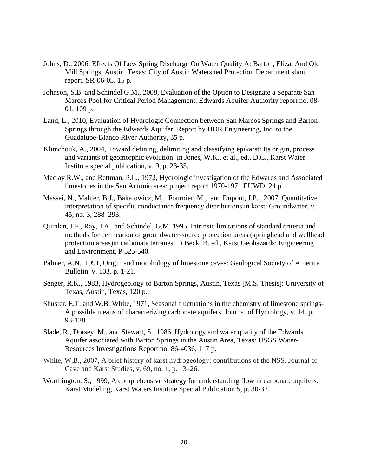- Johns, D., 2006, Effects Of Low Spring Discharge On Water Quality At Barton, Eliza, And Old Mill Springs, Austin, Texas: City of Austin Watershed Protection Department short report, SR-06-05, 15 p.
- Johnson, S.B. and Schindel G.M., 2008, Evaluation of the Option to Designate a Separate San Marcos Pool for Critical Period Management: Edwards Aquifer Authority report no. 08- 01, 109 p.
- Land, L., 2010, Evaluation of Hydrologic Connection between San Marcos Springs and Barton Springs through the Edwards Aquifer: Report by HDR Engineering, Inc. to the Guadalupe-Blanco River Authority, 35 p.
- Klimchouk, A., 2004, Toward defining, delimiting and classifying epikarst: Its origin, process and variants of geomorphic evolution: in Jones, W.K., et al., ed., D.C., Karst Water Institute special publication, v. 9, p. 23-35.
- Maclay R.W., and Rettman, P.L., 1972, Hydrologic investigation of the Edwards and Associated limestones in the San Antonio area: project report 1970-1971 EUWD, 24 p.
- Massei, N., Mahler, B.J., Bakalowicz, M,, Fournier, M., and Dupont, J.P. , 2007, Quantitative interpretation of specific conductance frequency distributions in karst: Groundwater, v. 45, no. 3, 288–293.
- Quinlan, J.F., Ray, J.A., and Schindel, G.M, 1995, Intrinsic limitations of standard criteria and methods for delineation of groundwater-source protection areas (springhead and wellhead protection areas)in carbonate terranes: in Beck, B. ed., Karst Geohazards: Engineering and Environment, P 525-540.
- Palmer, A.N., 1991, Origin and morphology of limestone caves: Geological Society of America Bulletin, v. 103, p. 1-21.
- Senger, R.K., 1983, Hydrogeology of Barton Springs, Austin, Texas [M.S. Thesis]: University of Texas, Austin, Texas, 120 p.
- Shuster, E.T. and W.B. White, 1971, Seasonal fluctuations in the chemistry of limestone springs-A possible means of characterizing carbonate aquifers, Journal of Hydrology, v. 14, p. 93-128.
- Slade, R., Dorsey, M., and Stewart, S., 1986, Hydrology and water quality of the Edwards Aquifer associated with Barton Springs in the Austin Area, Texas: USGS Water-Resources Investigations Report no. 86-4036, 117 p.
- White, W.B., 2007, A brief history of karst hydrogeology: contributions of the NSS. Journal of Cave and Karst Studies, v. 69, no. 1, p. 13–26.
- Worthington, S., 1999, A comprehensive strategy for understanding flow in carbonate aquifers: Karst Modeling, Karst Waters Institute Special Publication 5, p. 30-37.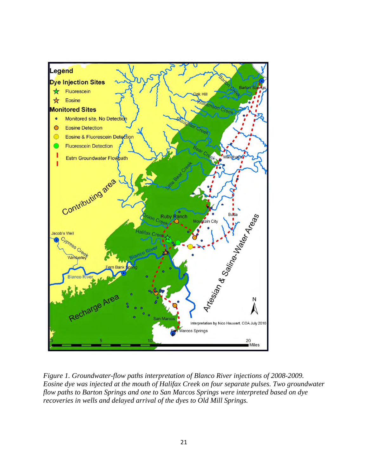

*Figure 1. Groundwater-flow paths interpretation of Blanco River injections of 2008-2009. Eosine dye was injected at the mouth of Halifax Creek on four separate pulses. Two groundwater flow paths to Barton Springs and one to San Marcos Springs were interpreted based on dye recoveries in wells and delayed arrival of the dyes to Old Mill Springs.*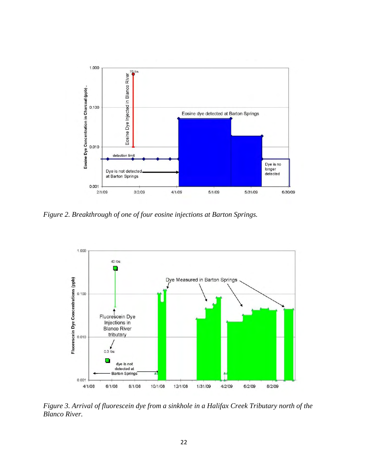

*Figure 2. Breakthrough of one of four eosine injections at Barton Springs.* 



*Figure 3. Arrival of fluorescein dye from a sinkhole in a Halifax Creek Tributary north of the Blanco River.*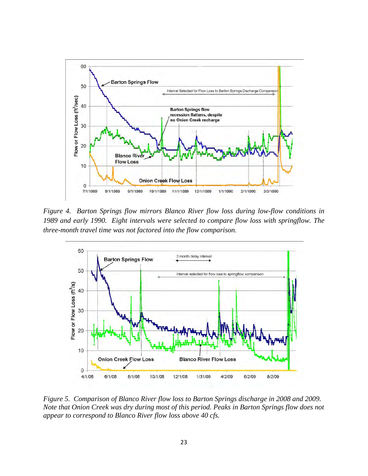

*Figure 4. Barton Springs flow mirrors Blanco River flow loss during low-flow conditions in 1989 and early 1990. Eight intervals were selected to compare flow loss with springflow. The three-month travel time was not factored into the flow comparison.* 



*Figure 5. Comparison of Blanco River flow loss to Barton Springs discharge in 2008 and 2009. Note that Onion Creek was dry during most of this period. Peaks in Barton Springs flow does not appear to correspond to Blanco River flow loss above 40 cfs.*